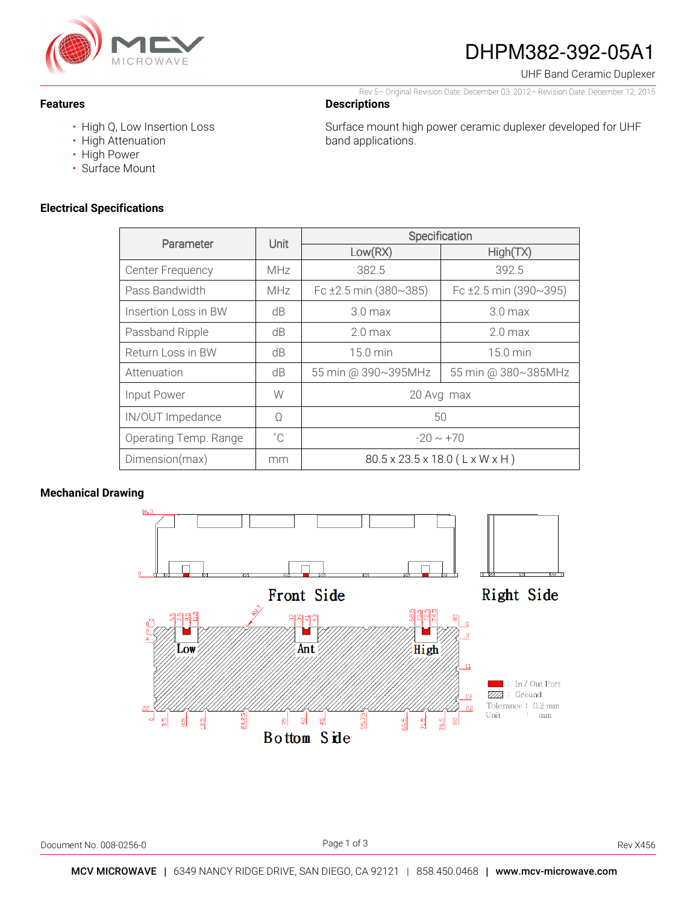

# DHPM382-392-05A1

Rev 5– Original Revision Date: December 03, 2012– Revision Date: December 12, 2015

Surface mount high power ceramic duplexer developed for UHF

UHF Band Ceramic Duplexer

**Features** 

- High Q, Low Insertion Loss
- High Attenuation
- High Power
- Surface Mount

### **Electrical Specifications**

| Parameter               | Unit         | Specification                  |                            |
|-------------------------|--------------|--------------------------------|----------------------------|
|                         |              | Low(RX)                        | High(TX)                   |
| <b>Center Frequency</b> | <b>MHz</b>   | 382.5                          | 392.5                      |
| Pass Bandwidth          | <b>MHz</b>   | Fc $\pm 2.5$ min (380~385)     | Fc $\pm 2.5$ min (390~395) |
| Insertion Loss in BW    | dB           | 3.0 <sub>max</sub>             | 3.0 <sub>max</sub>         |
| Passband Ripple         | dB           | 2.0 <sub>max</sub>             | 2.0 <sub>max</sub>         |
| Return Loss in BW       | dB           | 15.0 min                       | $15.0 \text{ min}$         |
| Attenuation             | dB           | 55 min @ 390~395MHz            | 55 min @ 380~385MHz        |
| Input Power             | W            | 20 Avg max                     |                            |
| IN/OUT Impedance        | Ω            | 50                             |                            |
| Operating Temp. Range   | $^{\circ}$ C | $-20 \sim +70$                 |                            |
| Dimension(max)          | mm           | 80.5 x 23.5 x 18.0 (L x W x H) |                            |

**Descriptions** 

band applications.

## **Mechanical Drawing**

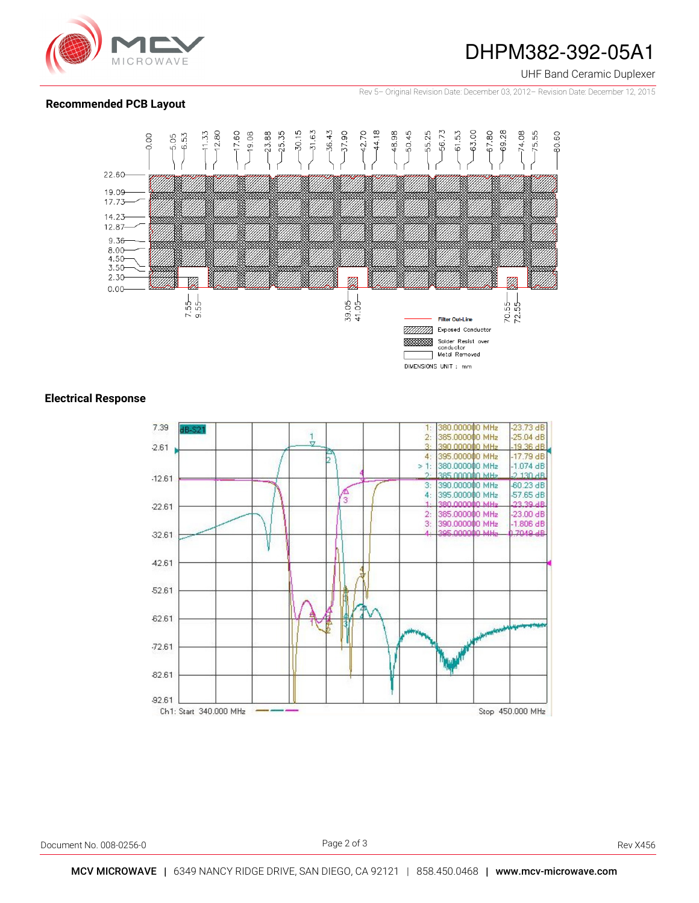

## DHPM382-392-05A1

UHF Band Ceramic Duplexer

Rev 5– Original Revision Date: December 03, 2012– Revision Date: December 12, 2015

### **Recommended PCB Layout**



### **Electrical Response**



Document No. 008-0256-0 **Rev X456** Rev X456